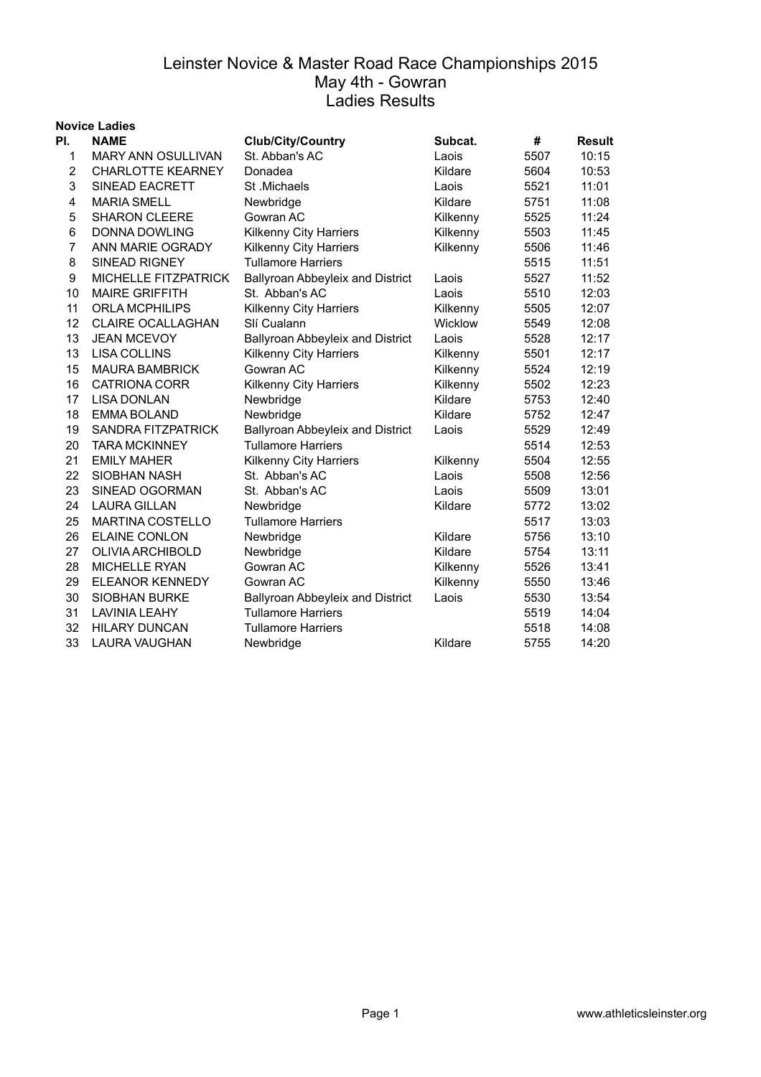|                | <b>Novice Ladies</b>        |                                  |          |      |               |
|----------------|-----------------------------|----------------------------------|----------|------|---------------|
| PI.            | <b>NAME</b>                 | <b>Club/City/Country</b>         | Subcat.  | #    | <b>Result</b> |
| 1              | <b>MARY ANN OSULLIVAN</b>   | St. Abban's AC                   | Laois    | 5507 | 10:15         |
| $\overline{c}$ | <b>CHARLOTTE KEARNEY</b>    | Donadea                          | Kildare  | 5604 | 10:53         |
| 3              | SINEAD EACRETT              | St.Michaels                      | Laois    | 5521 | 11:01         |
| 4              | <b>MARIA SMELL</b>          | Newbridge                        | Kildare  | 5751 | 11:08         |
| 5              | <b>SHARON CLEERE</b>        | Gowran AC                        | Kilkenny | 5525 | 11:24         |
| 6              | <b>DONNA DOWLING</b>        | Kilkenny City Harriers           | Kilkenny | 5503 | 11:45         |
| $\overline{7}$ | ANN MARIE OGRADY            | Kilkenny City Harriers           | Kilkenny | 5506 | 11:46         |
| 8              | <b>SINEAD RIGNEY</b>        | <b>Tullamore Harriers</b>        |          | 5515 | 11:51         |
| 9              | <b>MICHELLE FITZPATRICK</b> | Ballyroan Abbeyleix and District | Laois    | 5527 | 11:52         |
| 10             | <b>MAIRE GRIFFITH</b>       | St. Abban's AC                   | Laois    | 5510 | 12:03         |
| 11             | <b>ORLA MCPHILIPS</b>       | Kilkenny City Harriers           | Kilkenny | 5505 | 12:07         |
| 12             | <b>CLAIRE OCALLAGHAN</b>    | Slí Cualann                      | Wicklow  | 5549 | 12:08         |
| 13             | <b>JEAN MCEVOY</b>          | Ballyroan Abbeyleix and District | Laois    | 5528 | 12:17         |
| 13             | LISA COLLINS                | <b>Kilkenny City Harriers</b>    | Kilkenny | 5501 | 12:17         |
| 15             | <b>MAURA BAMBRICK</b>       | Gowran AC                        | Kilkenny | 5524 | 12:19         |
| 16             | <b>CATRIONA CORR</b>        | Kilkenny City Harriers           | Kilkenny | 5502 | 12:23         |
| 17             | <b>LISA DONLAN</b>          | Newbridge                        | Kildare  | 5753 | 12:40         |
| 18             | <b>EMMA BOLAND</b>          | Newbridge                        | Kildare  | 5752 | 12:47         |
| 19             | SANDRA FITZPATRICK          | Ballyroan Abbeyleix and District | Laois    | 5529 | 12:49         |
| 20             | <b>TARA MCKINNEY</b>        | <b>Tullamore Harriers</b>        |          | 5514 | 12:53         |
| 21             | <b>EMILY MAHER</b>          | Kilkenny City Harriers           | Kilkenny | 5504 | 12:55         |
| 22             | <b>SIOBHAN NASH</b>         | St. Abban's AC                   | Laois    | 5508 | 12:56         |
| 23             | SINEAD OGORMAN              | St. Abban's AC                   | Laois    | 5509 | 13:01         |
| 24             | <b>LAURA GILLAN</b>         | Newbridge                        | Kildare  | 5772 | 13:02         |
| 25             | <b>MARTINA COSTELLO</b>     | <b>Tullamore Harriers</b>        |          | 5517 | 13:03         |
| 26             | <b>ELAINE CONLON</b>        | Newbridge                        | Kildare  | 5756 | 13:10         |
| 27             | OLIVIA ARCHIBOLD            | Newbridge                        | Kildare  | 5754 | 13:11         |
| 28             | <b>MICHELLE RYAN</b>        | Gowran AC                        | Kilkenny | 5526 | 13:41         |
| 29             | <b>ELEANOR KENNEDY</b>      | Gowran AC                        | Kilkenny | 5550 | 13:46         |
| 30             | <b>SIOBHAN BURKE</b>        | Ballyroan Abbeyleix and District | Laois    | 5530 | 13:54         |
| 31             | <b>LAVINIA LEAHY</b>        | <b>Tullamore Harriers</b>        |          | 5519 | 14:04         |
| 32             | <b>HILARY DUNCAN</b>        | <b>Tullamore Harriers</b>        |          | 5518 | 14:08         |
| 33             | <b>LAURA VAUGHAN</b>        | Newbridge                        | Kildare  | 5755 | 14:20         |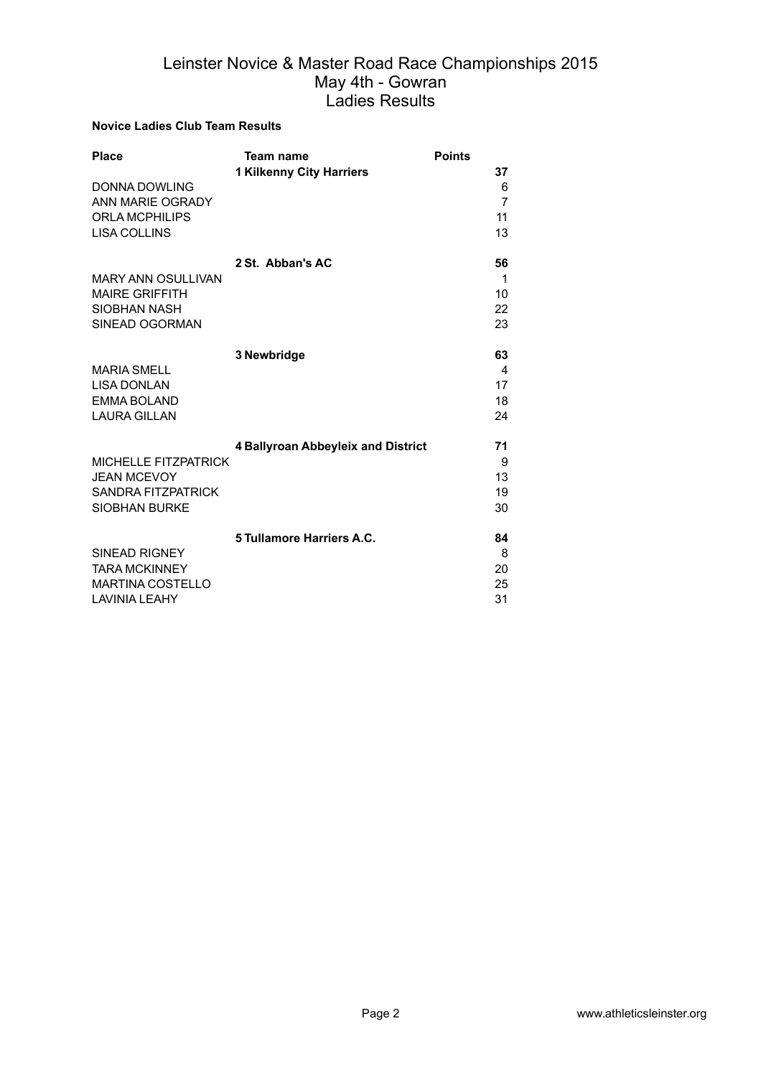#### **Novice Ladies Club Team Results**

| <b>Place</b>                | <b>Team name</b>                   | <b>Points</b>  |
|-----------------------------|------------------------------------|----------------|
|                             | <b>1 Kilkenny City Harriers</b>    | 37             |
| DONNA DOWLING               |                                    | 6              |
| ANN MARIE OGRADY            |                                    | $\overline{7}$ |
| <b>ORLA MCPHILIPS</b>       |                                    | 11             |
| <b>LISA COLLINS</b>         |                                    | 13             |
|                             | 2 St. Abban's AC                   | 56             |
| <b>MARY ANN OSULLIVAN</b>   |                                    | 1              |
| <b>MAIRE GRIFFITH</b>       |                                    | 10             |
| SIOBHAN NASH                |                                    | 22             |
| SINEAD OGORMAN              |                                    | 23             |
|                             |                                    |                |
|                             | 3 Newbridge                        | 63             |
| <b>MARIA SMELL</b>          |                                    | 4              |
| <b>LISA DONLAN</b>          |                                    | 17             |
| <b>EMMA BOLAND</b>          |                                    | 18             |
| <b>LAURA GILLAN</b>         |                                    | 24             |
|                             |                                    |                |
|                             | 4 Ballyroan Abbeyleix and District | 71             |
| <b>MICHELLE FITZPATRICK</b> |                                    | 9              |
| <b>JEAN MCEVOY</b>          |                                    | 13             |
| <b>SANDRA FITZPATRICK</b>   |                                    | 19             |
| <b>SIOBHAN BURKE</b>        |                                    | 30             |
|                             |                                    |                |
|                             | 5 Tullamore Harriers A.C.          | 84             |
| <b>SINEAD RIGNEY</b>        |                                    | 8              |
| <b>TARA MCKINNEY</b>        |                                    | 20             |
| <b>MARTINA COSTELLO</b>     |                                    | 25             |
| LAVINIA LEAHY               |                                    | 31             |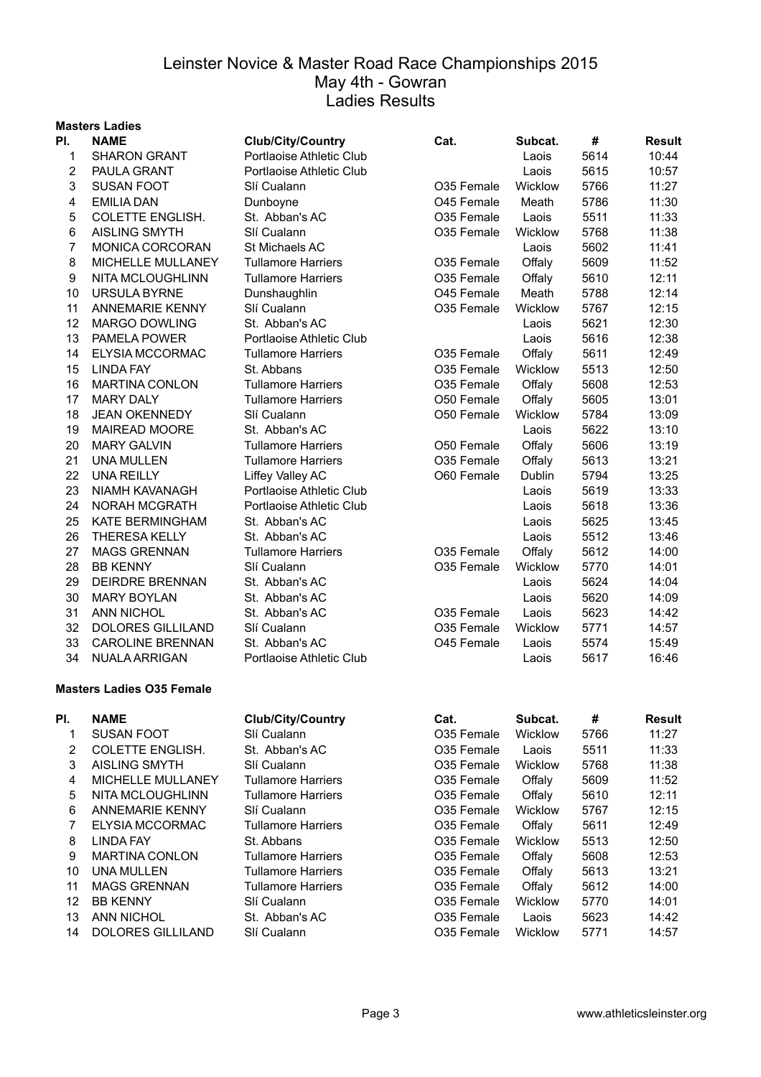#### **Masters Ladies Pl. NAME Club/City/Country Cat. Subcat. # Result** SHARON GRANT Portlaoise Athletic Club Laois 5614 10:44 PAULA GRANT Portlaoise Athletic Club Laois 5615 10:57 3 SUSAN FOOT Slí Cualann CO35 Female Wicklow 5766 11:27 EMILIA DAN Dunboyne O45 Female Meath 5786 11:30 COLETTE ENGLISH. St. Abban's AC O35 Female Laois 5511 11:33 AISLING SMYTH Slí Cualann O35 Female Wicklow 5768 11:38 7 MONICA CORCORAN St Michaels AC **CONFERENT CONTENT CONTRACT 11:41** Laois 5602 11:41 MICHELLE MULLANEY Tullamore Harriers O35 Female Offaly 5609 11:52 NITA MCLOUGHLINN Tullamore Harriers O35 Female Offaly 5610 12:11 URSULA BYRNE Dunshaughlin O45 Female Meath 5788 12:14 11 ANNEMARIE KENNY SIí Cualann COSS Female Wicklow 5767 12:15 12 MARGO DOWLING St. Abban's AC Channel Control Care and Laois 5621 12:30 13 PAMELA POWER Portlaoise Athletic Club Laois 5616 12:38 ELYSIA MCCORMAC Tullamore Harriers O35 Female Offaly 5611 12:49 15 LINDA FAY **St. Abbans** CO35 Female Wicklow 5513 12:50 MARTINA CONLON Tullamore Harriers O35 Female Offaly 5608 12:53 17 MARY DALY **Tullamore Harriers** 050 Female Offaly 5605 13:01 18 JEAN OKENNEDY SII Cualann COSO Female Wicklow 5784 13:09 MAIREAD MOORE St. Abban's AC Laois 5622 13:10 MARY GALVIN Tullamore Harriers O50 Female Offaly 5606 13:19 UNA MULLEN Tullamore Harriers O35 Female Offaly 5613 13:21 22 UNA REILLY **Liffey Valley AC** 660 Female Dublin 5794 13:25 NIAMH KAVANAGH Portlaoise Athletic Club Laois 5619 13:33 24 NORAH MCGRATH Portlaoise Athletic Club Contract Laois 5618 13:36 KATE BERMINGHAM St. Abban's AC Laois 5625 13:45 THERESA KELLY St. Abban's AC Laois 5512 13:46 MAGS GRENNAN Tullamore Harriers O35 Female Offaly 5612 14:00 28 BB KENNY Slí Cualann CO35 Female Wicklow 5770 14:01 DEIRDRE BRENNAN St. Abban's AC Laois 5624 14:04 MARY BOYLAN St. Abban's AC Laois 5620 14:09 ANN NICHOL St. Abban's AC O35 Female Laois 5623 14:42 32 DOLORES GILLILAND SI Cualann COSS Female Wicklow 5771 14:57 CAROLINE BRENNAN St. Abban's AC O45 Female Laois 5574 15:49 NUALA ARRIGAN Portlaoise Athletic Club Laois 5617 16:46 **Masters Ladies O35 Female**

| PI. | <b>NAME</b>              | <b>Club/City/Country</b>  | Cat.                   | Subcat.        | #    | <b>Result</b> |
|-----|--------------------------|---------------------------|------------------------|----------------|------|---------------|
|     | SUSAN FOOT               | SIí Cualann               | O <sub>35</sub> Female | Wicklow        | 5766 | 11:27         |
| 2   | COLETTE ENGLISH.         | St. Abban's AC            | O <sub>35</sub> Female | Laois          | 5511 | 11:33         |
| 3   | <b>AISLING SMYTH</b>     | SIí Cualann               | O <sub>35</sub> Female | Wicklow        | 5768 | 11:38         |
| 4   | <b>MICHELLE MULLANEY</b> | <b>Tullamore Harriers</b> | O <sub>35</sub> Female | Offalv         | 5609 | 11:52         |
| 5   | NITA MCLOUGHLINN         | <b>Tullamore Harriers</b> | O35 Female             | Offaly         | 5610 | 12:11         |
| 6   | <b>ANNEMARIE KENNY</b>   | Slí Cualann               | O <sub>35</sub> Female | Wicklow        | 5767 | 12:15         |
|     | ELYSIA MCCORMAC          | <b>Tullamore Harriers</b> | O <sub>35</sub> Female | Offaly         | 5611 | 12:49         |
| 8   | LINDA FAY                | St. Abbans                | O35 Female             | <b>Wicklow</b> | 5513 | 12:50         |
| 9   | <b>MARTINA CONLON</b>    | Tullamore Harriers        | O <sub>35</sub> Female | Offaly         | 5608 | 12:53         |
| 10  | <b>UNA MULLEN</b>        | Tullamore Harriers        | O <sub>35</sub> Female | Offaly         | 5613 | 13:21         |
| 11  | <b>MAGS GRENNAN</b>      | <b>Tullamore Harriers</b> | O <sub>35</sub> Female | Offaly         | 5612 | 14:00         |
| 12  | <b>BB KENNY</b>          | Slí Cualann               | O <sub>35</sub> Female | Wicklow        | 5770 | 14:01         |
| 13  | ANN NICHOL               | St. Abban's AC            | O <sub>35</sub> Female | Laois          | 5623 | 14:42         |
| 14  | <b>DOLORES GILLILAND</b> | SIí Cualann               | O <sub>35</sub> Female | Wicklow        | 5771 | 14:57         |
|     |                          |                           |                        |                |      |               |